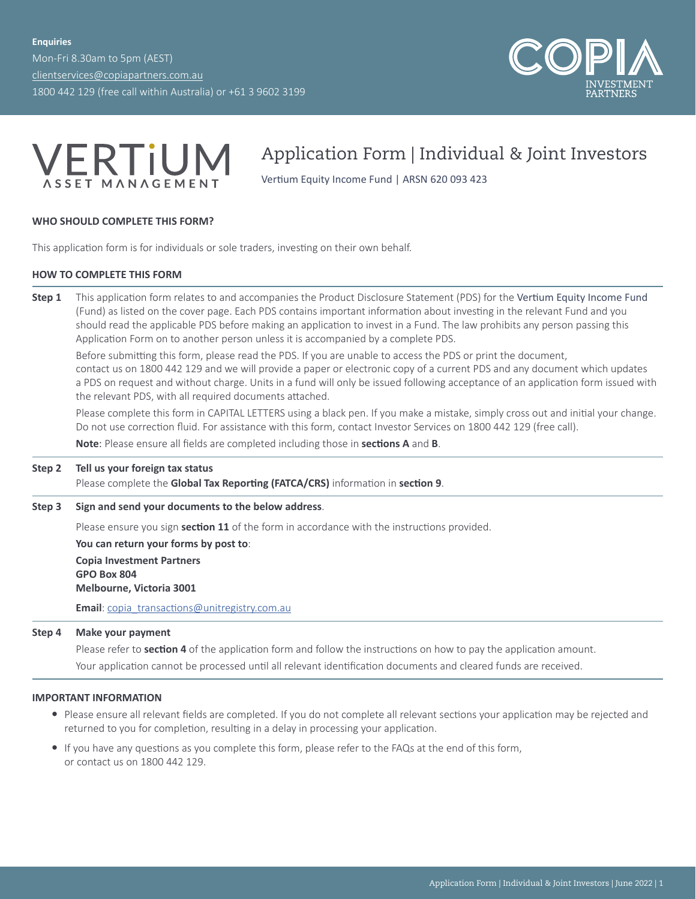Mon-Fri 8.30am to 5pm (AEST) [clientservices@copiapartners.com.au](mailto:clientservices%40copiapartners.com.au?subject=) 1800 442 129 (free call within Australia) or +61 3 9602 3199





# Application Form | Individual & Joint Investors

Vertium Equity Income Fund | ARSN 620 093 423

# **WHO SHOULD COMPLETE THIS FORM?**

This application form is for individuals or sole traders, investing on their own behalf.

# **HOW TO COMPLETE THIS FORM**

**Step 1** This application form relates to and accompanies the Product Disclosure Statement (PDS) for the Vertium Equity Income Fund (Fund) as listed on the cover page. Each PDS contains important information about investing in the relevant Fund and you should read the applicable PDS before making an application to invest in a Fund. The law prohibits any person passing this Application Form on to another person unless it is accompanied by a complete PDS.

Before submitting this form, please read the PDS. If you are unable to access the PDS or print the document, contact us on 1800 442 129 and we will provide a paper or electronic copy of a current PDS and any document which updates a PDS on request and without charge. Units in a fund will only be issued following acceptance of an application form issued with the relevant PDS, with all required documents attached.

Please complete this form in CAPITAL LETTERS using a black pen. If you make a mistake, simply cross out and initial your change. Do not use correction fluid. For assistance with this form, contact Investor Services on 1800 442 129 (free call).

**Note**: Please ensure all fields are completed including those in **sections A** and **B**.

## **Step 2 Tell us your foreign tax status**

Please complete the **Global Tax Reporting (FATCA/CRS)** information in **section 9**.

**Step 3 Sign and send your documents to the below address**.

Please ensure you sign **section 11** of the form in accordance with the instructions provided.

**You can return your forms by post to**: **Copia Investment Partners GPO Box 804 Melbourne, Victoria 3001**

**Email**: [copia\\_transactions@unitregistry.com.au](mailto:copia_transactions%40unitregistry.com.au?subject=)

#### **Step 4 Make your payment**

Please refer to **section 4** of the application form and follow the instructions on how to pay the application amount.

Your application cannot be processed until all relevant identification documents and cleared funds are received.

#### **IMPORTANT INFORMATION**

- Please ensure all relevant fields are completed. If you do not complete all relevant sections your application may be rejected and returned to you for completion, resulting in a delay in processing your application.
- y If you have any questions as you complete this form, please refer to the FAQs at the end of this form, or contact us on 1800 442 129.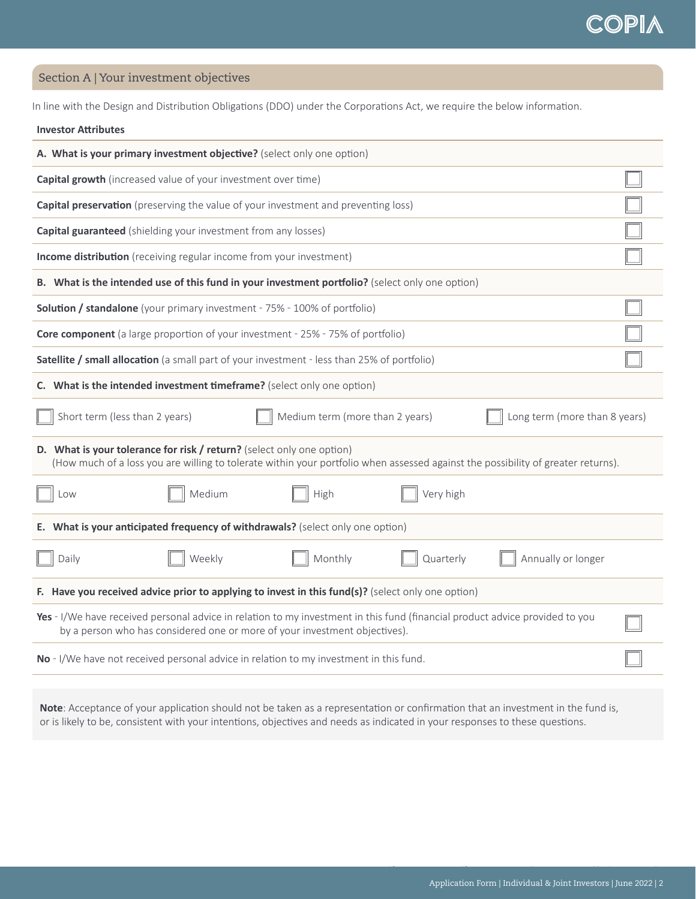Section A | Your investment objectives

**Investor Attributes**

In line with the Design and Distribution Obligations (DDO) under the Corporations Act, we require the below information.

| A. What is your primary investment objective? (select only one option)                                                                                                                                     |  |  |  |  |  |  |
|------------------------------------------------------------------------------------------------------------------------------------------------------------------------------------------------------------|--|--|--|--|--|--|
| <b>Capital growth</b> (increased value of your investment over time)                                                                                                                                       |  |  |  |  |  |  |
| Capital preservation (preserving the value of your investment and preventing loss)                                                                                                                         |  |  |  |  |  |  |
| <b>Capital guaranteed</b> (shielding your investment from any losses)                                                                                                                                      |  |  |  |  |  |  |
| Income distribution (receiving regular income from your investment)                                                                                                                                        |  |  |  |  |  |  |
| B. What is the intended use of this fund in your investment portfolio? (select only one option)                                                                                                            |  |  |  |  |  |  |
| <b>Solution / standalone</b> (your primary investment - 75% - 100% of portfolio)                                                                                                                           |  |  |  |  |  |  |
| <b>Core component</b> (a large proportion of your investment - 25% - 75% of portfolio)                                                                                                                     |  |  |  |  |  |  |
| Satellite / small allocation (a small part of your investment - less than 25% of portfolio)                                                                                                                |  |  |  |  |  |  |
| C. What is the intended investment timeframe? (select only one option)                                                                                                                                     |  |  |  |  |  |  |
| Short term (less than 2 years)<br>Medium term (more than 2 years)<br>Long term (more than 8 years)                                                                                                         |  |  |  |  |  |  |
| D. What is your tolerance for risk / return? (select only one option)<br>(How much of a loss you are willing to tolerate within your portfolio when assessed against the possibility of greater returns).  |  |  |  |  |  |  |
| Very high<br>Medium<br>High<br>Low                                                                                                                                                                         |  |  |  |  |  |  |
| E. What is your anticipated frequency of withdrawals? (select only one option)                                                                                                                             |  |  |  |  |  |  |
| Monthly<br>Quarterly<br>Daily<br>Weekly<br>Annually or longer                                                                                                                                              |  |  |  |  |  |  |
| F. Have you received advice prior to applying to invest in this fund(s)? (select only one option)                                                                                                          |  |  |  |  |  |  |
| Yes - I/We have received personal advice in relation to my investment in this fund (financial product advice provided to you<br>by a person who has considered one or more of your investment objectives). |  |  |  |  |  |  |
| No - I/We have not received personal advice in relation to my investment in this fund.                                                                                                                     |  |  |  |  |  |  |

**Note**: Acceptance of your application should not be taken as a representation or confirmation that an investment in the fund is, or is likely to be, consistent with your intentions, objectives and needs as indicated in your responses to these questions.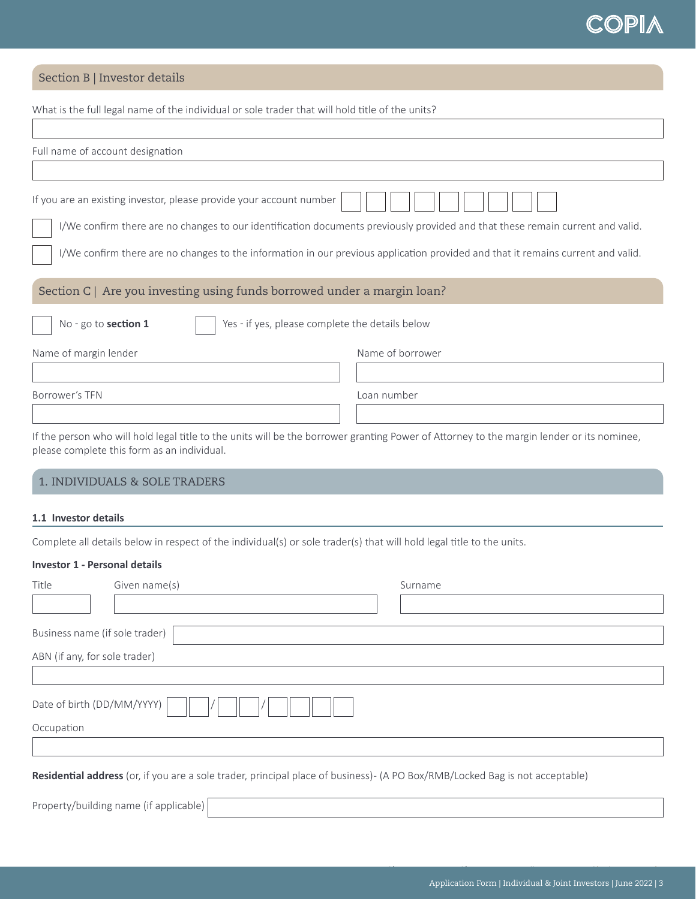# Section B | Investor details

| What is the full legal name of the individual or sole trader that will hold title of the units?                                                                                          |                                                                                                                                                                                                                                                                    |  |  |  |
|------------------------------------------------------------------------------------------------------------------------------------------------------------------------------------------|--------------------------------------------------------------------------------------------------------------------------------------------------------------------------------------------------------------------------------------------------------------------|--|--|--|
| Full name of account designation                                                                                                                                                         |                                                                                                                                                                                                                                                                    |  |  |  |
| If you are an existing investor, please provide your account number                                                                                                                      |                                                                                                                                                                                                                                                                    |  |  |  |
|                                                                                                                                                                                          | I/We confirm there are no changes to our identification documents previously provided and that these remain current and valid.<br>I/We confirm there are no changes to the information in our previous application provided and that it remains current and valid. |  |  |  |
| Section C   Are you investing using funds borrowed under a margin loan?                                                                                                                  |                                                                                                                                                                                                                                                                    |  |  |  |
| No - go to section 1<br>Yes - if yes, please complete the details below                                                                                                                  |                                                                                                                                                                                                                                                                    |  |  |  |
| Name of margin lender                                                                                                                                                                    | Name of borrower                                                                                                                                                                                                                                                   |  |  |  |
| Borrower's TFN                                                                                                                                                                           | Loan number                                                                                                                                                                                                                                                        |  |  |  |
| If the person who will hold legal title to the units will be the borrower granting Power of Attorney to the margin lender or its nominee,<br>please complete this form as an individual. |                                                                                                                                                                                                                                                                    |  |  |  |
| 1. INDIVIDUALS & SOLE TRADERS                                                                                                                                                            |                                                                                                                                                                                                                                                                    |  |  |  |
| 1.1 Investor details                                                                                                                                                                     |                                                                                                                                                                                                                                                                    |  |  |  |
| Complete all details below in respect of the individual(s) or sole trader(s) that will hold legal title to the units.                                                                    |                                                                                                                                                                                                                                                                    |  |  |  |
| <b>Investor 1 - Personal details</b>                                                                                                                                                     |                                                                                                                                                                                                                                                                    |  |  |  |
| Given name(s)<br>Title                                                                                                                                                                   | Surname                                                                                                                                                                                                                                                            |  |  |  |

| Business name (if sole trader)                                                                                               |
|------------------------------------------------------------------------------------------------------------------------------|
| ABN (if any, for sole trader)                                                                                                |
|                                                                                                                              |
| Date of birth (DD/MM/YYYY)                                                                                                   |
| Occupation                                                                                                                   |
|                                                                                                                              |
| Residential address (or, if you are a sole trader, principal place of business)- (A PO Box/RMB/Locked Bag is not acceptable) |
| Property/building name (if applicable)                                                                                       |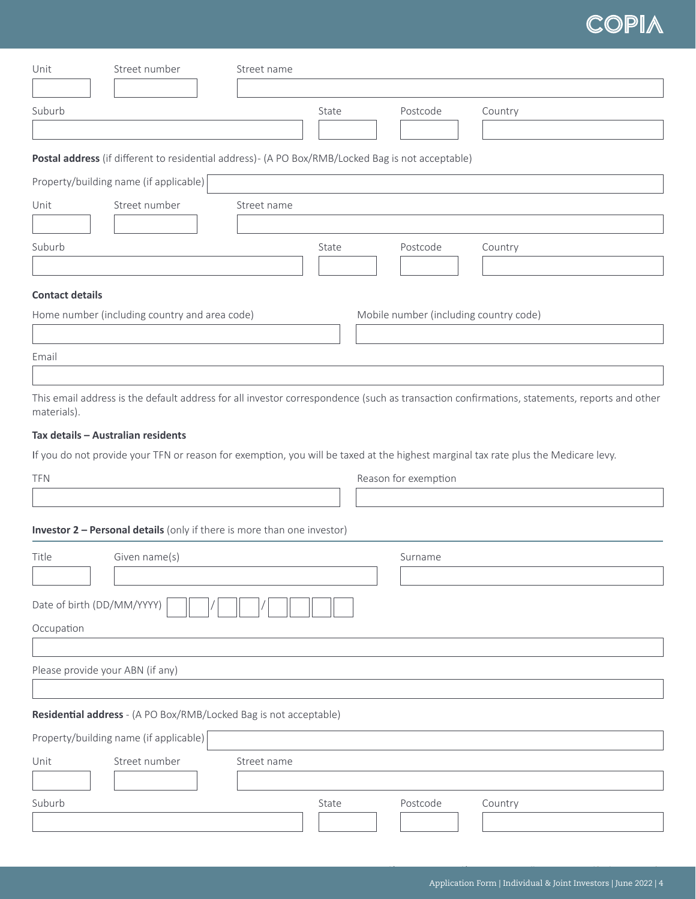| Unit                             | Street number                                                                                      | Street name |       |                      |                                                                                                                                             |
|----------------------------------|----------------------------------------------------------------------------------------------------|-------------|-------|----------------------|---------------------------------------------------------------------------------------------------------------------------------------------|
|                                  |                                                                                                    |             |       |                      |                                                                                                                                             |
| Suburb                           |                                                                                                    |             | State | Postcode             | Country                                                                                                                                     |
|                                  |                                                                                                    |             |       |                      |                                                                                                                                             |
|                                  | Postal address (if different to residential address) - (A PO Box/RMB/Locked Bag is not acceptable) |             |       |                      |                                                                                                                                             |
|                                  | Property/building name (if applicable)                                                             |             |       |                      |                                                                                                                                             |
| Unit                             | Street number                                                                                      | Street name |       |                      |                                                                                                                                             |
|                                  |                                                                                                    |             |       |                      |                                                                                                                                             |
| Suburb                           |                                                                                                    |             | State | Postcode             | Country                                                                                                                                     |
|                                  |                                                                                                    |             |       |                      |                                                                                                                                             |
| <b>Contact details</b>           |                                                                                                    |             |       |                      |                                                                                                                                             |
|                                  | Home number (including country and area code)                                                      |             |       |                      | Mobile number (including country code)                                                                                                      |
|                                  |                                                                                                    |             |       |                      |                                                                                                                                             |
| Email                            |                                                                                                    |             |       |                      |                                                                                                                                             |
| materials).                      |                                                                                                    |             |       |                      | This email address is the default address for all investor correspondence (such as transaction confirmations, statements, reports and other |
|                                  | Tax details - Australian residents                                                                 |             |       |                      |                                                                                                                                             |
|                                  |                                                                                                    |             |       |                      | If you do not provide your TFN or reason for exemption, you will be taxed at the highest marginal tax rate plus the Medicare levy.          |
| <b>TFN</b>                       |                                                                                                    |             |       | Reason for exemption |                                                                                                                                             |
|                                  |                                                                                                    |             |       |                      |                                                                                                                                             |
|                                  | <b>Investor 2 - Personal details</b> (only if there is more than one investor)                     |             |       |                      |                                                                                                                                             |
| Title                            | Given name(s)                                                                                      |             |       | Surname              |                                                                                                                                             |
|                                  |                                                                                                    |             |       |                      |                                                                                                                                             |
| Date of birth (DD/MM/YYYY)       |                                                                                                    |             |       |                      |                                                                                                                                             |
| Occupation                       |                                                                                                    |             |       |                      |                                                                                                                                             |
|                                  |                                                                                                    |             |       |                      |                                                                                                                                             |
| Please provide your ABN (if any) |                                                                                                    |             |       |                      |                                                                                                                                             |
|                                  |                                                                                                    |             |       |                      |                                                                                                                                             |
|                                  | Residential address - (A PO Box/RMB/Locked Bag is not acceptable)                                  |             |       |                      |                                                                                                                                             |
|                                  | Property/building name (if applicable)                                                             |             |       |                      |                                                                                                                                             |
| Unit                             | Street number                                                                                      | Street name |       |                      |                                                                                                                                             |
|                                  |                                                                                                    |             |       |                      |                                                                                                                                             |
| Suburb                           |                                                                                                    |             | State | Postcode             | Country                                                                                                                                     |
|                                  |                                                                                                    |             |       |                      |                                                                                                                                             |
|                                  |                                                                                                    |             |       |                      |                                                                                                                                             |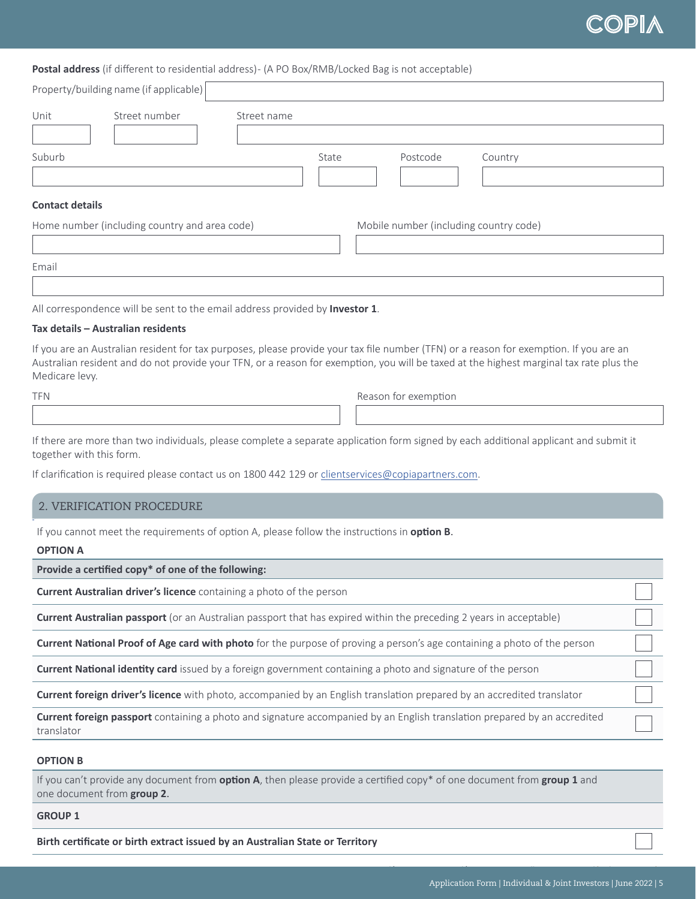# :OPI

# **Postal address** (if different to residential address) - (A PO Box/RMB/Locked Bag is not acceptable)

| Unit                   | Street number                                 | Street name |       |                                        |         |
|------------------------|-----------------------------------------------|-------------|-------|----------------------------------------|---------|
| Suburb                 |                                               |             | State | Postcode                               | Country |
| <b>Contact details</b> |                                               |             |       |                                        |         |
|                        | Home number (including country and area code) |             |       | Mobile number (including country code) |         |

All correspondence will be sent to the email address provided by **Investor 1**.

#### **Tax details – Australian residents**

If you are an Australian resident for tax purposes, please provide your tax file number (TFN) or a reason for exemption. If you are an Australian resident and do not provide your TFN, or a reason for exemption, you will be taxed at the highest marginal tax rate plus the Medicare levy.

TFN Reason for exemption

If there are more than two individuals, please complete a separate application form signed by each additional applicant and submit it together with this form.

If clarification is required please contact us on 1800 442 129 or clientservices@copiapartners.com.

#### au. 2. VERIFICATION PROCEDURE

If you cannot meet the requirements of option A, please follow the instructions in **option B**.

#### **OPTION A**

**Provide a certified copy\* of one of the following:**

**Current Australian driver's licence** containing a photo of the person

**Current Australian passport** (or an Australian passport that has expired within the preceding 2 years in acceptable)

**Current National Proof of Age card with photo** for the purpose of proving a person's age containing a photo of the person

**Current National identity card** issued by a foreign government containing a photo and signature of the person

**Current foreign driver's licence** with photo, accompanied by an English translation prepared by an accredited translator

**Current foreign passport** containing a photo and signature accompanied by an English translation prepared by an accredited translator

## **OPTION B**

If you can't provide any document from **option A**, then please provide a certified copy\* of one document from **group 1** and one document from **group 2**.

#### **GROUP 1**

**Birth certificate or birth extract issued by an Australian State or Territory**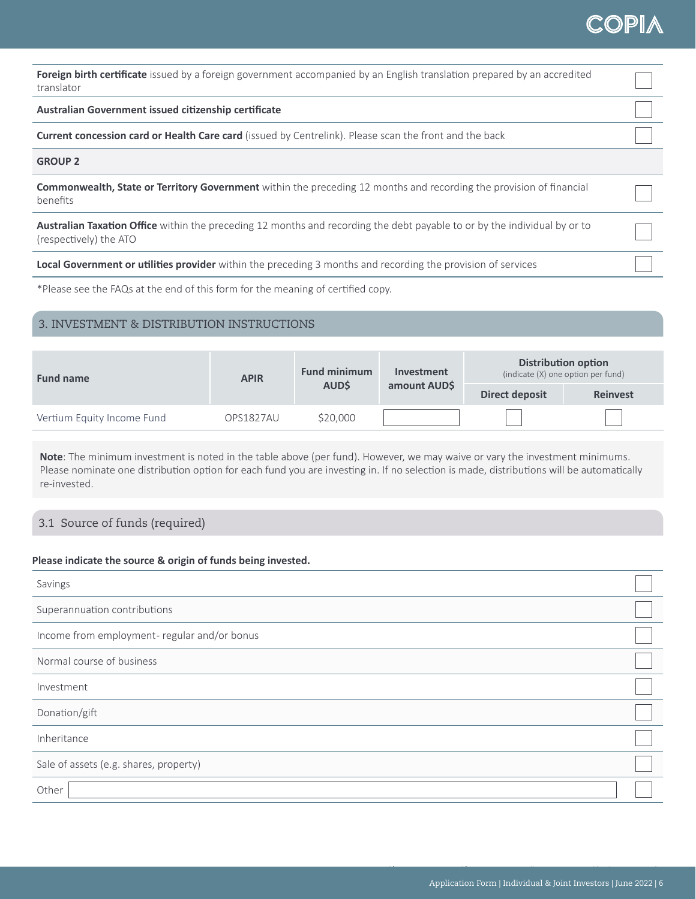| <b>Foreign birth certificate</b> issued by a foreign government accompanied by an English translation prepared by an accredited<br>translator              |  |
|------------------------------------------------------------------------------------------------------------------------------------------------------------|--|
|                                                                                                                                                            |  |
| Australian Government issued citizenship certificate                                                                                                       |  |
| <b>Current concession card or Health Care card</b> (issued by Centrelink). Please scan the front and the back                                              |  |
| <b>GROUP 2</b>                                                                                                                                             |  |
| <b>Commonwealth, State or Territory Government</b> within the preceding 12 months and recording the provision of financial<br>benefits                     |  |
| <b>Australian Taxation Office</b> within the preceding 12 months and recording the debt payable to or by the individual by or to<br>(respectively) the ATO |  |
| Local Government or utilities provider within the preceding 3 months and recording the provision of services                                               |  |

\*Please see the FAQs at the end of this form for the meaning of certified copy.

# 3. INVESTMENT & DISTRIBUTION INSTRUCTIONS

| <b>Fund name</b>           | <b>APIR</b> | <b>Fund minimum</b> | <b>Investment</b> |                | <b>Distribution option</b><br>(indicate (X) one option per fund) |
|----------------------------|-------------|---------------------|-------------------|----------------|------------------------------------------------------------------|
|                            |             | <b>AUDS</b>         | amount AUD\$      | Direct deposit | <b>Reinvest</b>                                                  |
| Vertium Equity Income Fund | OPS1827AU   | \$20,000            |                   |                |                                                                  |

**Note**: The minimum investment is noted in the table above (per fund). However, we may waive or vary the investment minimums. Please nominate one distribution option for each fund you are investing in. If no selection is made, distributions will be automatically re-invested.

# 3.1 Source of funds (required)

## **Please indicate the source & origin of funds being invested.**

| Savings                                     |  |
|---------------------------------------------|--|
| Superannuation contributions                |  |
| Income from employment-regular and/or bonus |  |
| Normal course of business                   |  |
| Investment                                  |  |
| Donation/gift                               |  |
| Inheritance                                 |  |
| Sale of assets (e.g. shares, property)      |  |
| Other                                       |  |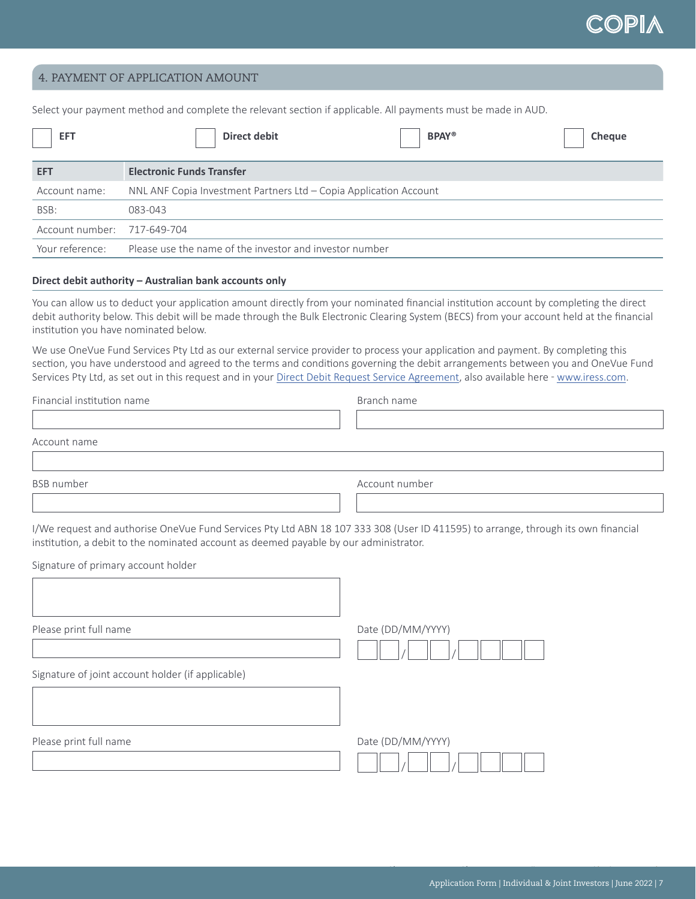$\begin{array}{c} \hline \end{array}$ 

# 4. PAYMENT OF APPLICATION AMOUNT

Select your payment method and complete the relevant section if applicable. All payments must be made in AUD.

| <b>EFT</b>                  | <b>BPAY®</b><br>Direct debit<br><b>Cheque</b>                     |
|-----------------------------|-------------------------------------------------------------------|
| <b>EFT</b>                  | <b>Electronic Funds Transfer</b>                                  |
| Account name:               | NNL ANF Copia Investment Partners Ltd - Copia Application Account |
| BSB:                        | 083-043                                                           |
| Account number: 717-649-704 |                                                                   |
| Your reference:             | Please use the name of the investor and investor number           |

## **Direct debit authority – Australian bank accounts only**

You can allow us to deduct your application amount directly from your nominated financial institution account by completing the direct debit authority below. This debit will be made through the Bulk Electronic Clearing System (BECS) from your account held at the financial institution you have nominated below.

We use OneVue Fund Services Pty Ltd as our external service provider to process your application and payment. By completing this section, you have understood and agreed to the terms and conditions governing the debit arrangements between you and OneVue Fund Services Pty Ltd, as set out in this request and in your [Direct Debit Request Service Agreement](https://www.iress.com/media/documents/OneVue_Fund_Services_Direct_Debit_Request_Services_Agreement-Oct21.pdf), also available here - [www.iress.com.](http://www.iress.com)

| Financial institution name | Branch name    |  |
|----------------------------|----------------|--|
|                            |                |  |
| Account name               |                |  |
|                            |                |  |
| <b>BSB</b> number          | Account number |  |

I/We request and authorise OneVue Fund Services Pty Ltd ABN 18 107 333 308 (User ID 411595) to arrange, through its own financial institution, a debit to the nominated account as deemed payable by our administrator.

Signature of primary account holder

Please print full name and the principle of the Date (DD/MM/YYYY)

Signature of joint account holder (if applicable)



Please print full name and the principle of the Date (DD/MM/YYYY)

| $D$ alc $\left(\frac{D}{D}\right)$ iviivi/ $\left(1\right)$ |  |  |
|-------------------------------------------------------------|--|--|
|                                                             |  |  |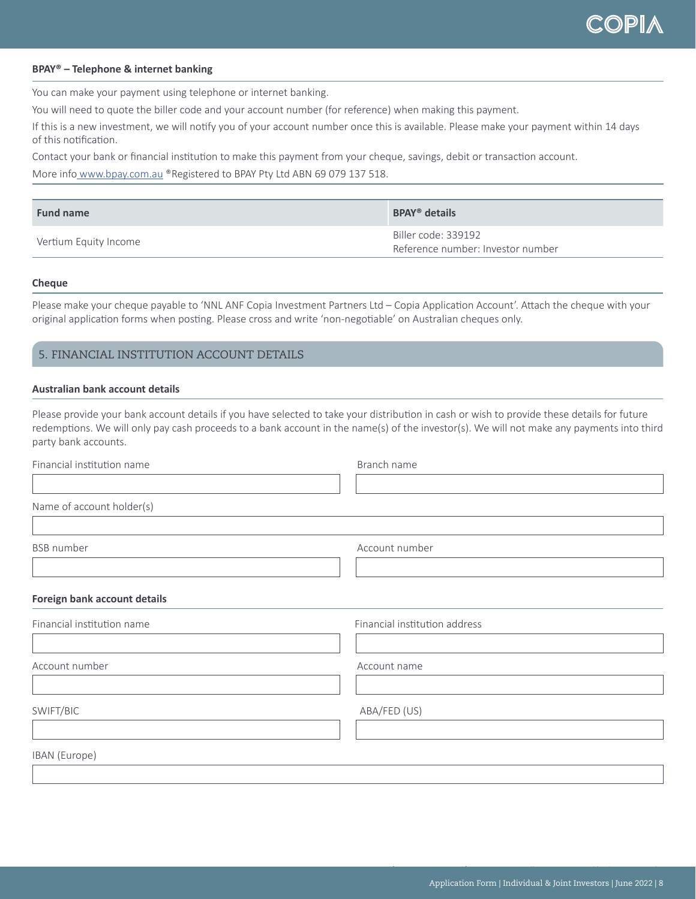## **BPAY® – Telephone & internet banking**

You can make your payment using telephone or internet banking.

You will need to quote the biller code and your account number (for reference) when making this payment.

If this is a new investment, we will notify you of your account number once this is available. Please make your payment within 14 days of this notification.

Contact your bank or financial institution to make this payment from your cheque, savings, debit or transaction account.

More info [www.bpay.com.au](http://www.bpay.com.au) ®Registered to BPAY Pty Ltd ABN 69 079 137 518.

| <b>Fund name</b>      | <b>BPAY<sup>®</sup></b> details                          |
|-----------------------|----------------------------------------------------------|
| Vertium Equity Income | Biller code: 339192<br>Reference number: Investor number |

#### **Cheque**

Please make your cheque payable to 'NNL ANF Copia Investment Partners Ltd – Copia Application Account'. Attach the cheque with your original application forms when posting. Please cross and write 'non-negotiable' on Australian cheques only.

# 5. FINANCIAL INSTITUTION ACCOUNT DETAILS

## **Australian bank account details**

Please provide your bank account details if you have selected to take your distribution in cash or wish to provide these details for future redemptions. We will only pay cash proceeds to a bank account in the name(s) of the investor(s). We will not make any payments into third party bank accounts.

| Financial institution name   | Branch name                   |  |
|------------------------------|-------------------------------|--|
|                              |                               |  |
| Name of account holder(s)    |                               |  |
|                              |                               |  |
| <b>BSB</b> number            | Account number                |  |
|                              |                               |  |
| Foreign bank account details |                               |  |
| Financial institution name   | Financial institution address |  |
|                              |                               |  |
| Account number               | Account name                  |  |
|                              |                               |  |
| SWIFT/BIC                    | ABA/FED (US)                  |  |
|                              |                               |  |
| IBAN (Europe)                |                               |  |
|                              |                               |  |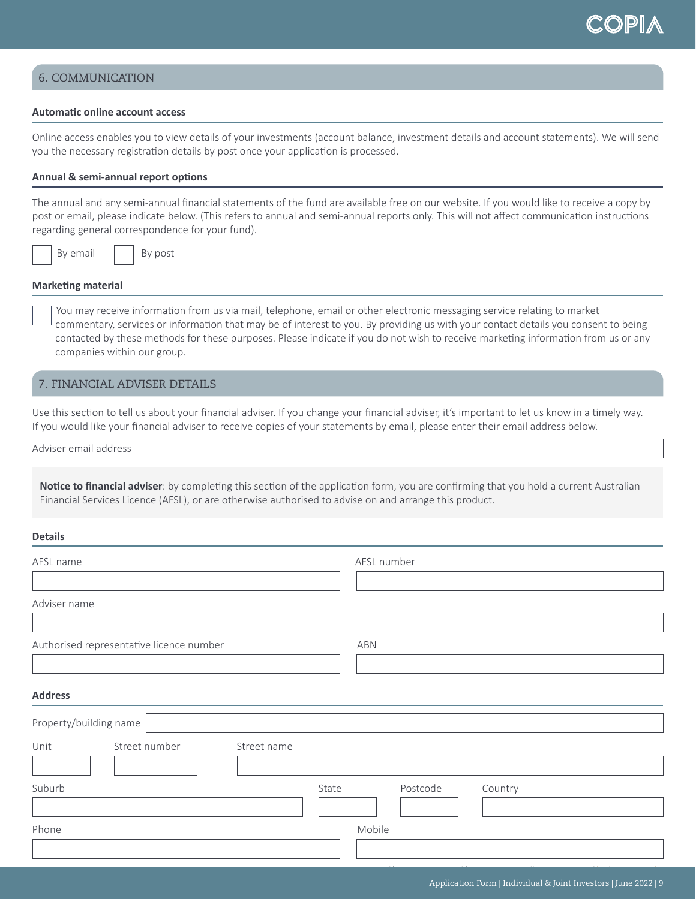# 6. COMMUNICATION

## **Automatic online account access**

Online access enables you to view details of your investments (account balance, investment details and account statements). We will send you the necessary registration details by post once your application is processed.

### **Annual & semi-annual report options**

The annual and any semi-annual financial statements of the fund are available free on our website. If you would like to receive a copy by post or email, please indicate below. (This refers to annual and semi-annual reports only. This will not affect communication instructions regarding general correspondence for your fund).

By email  $\vert$  By post

#### **Marketing material**

 You may receive information from us via mail, telephone, email or other electronic messaging service relating to market commentary, services or information that may be of interest to you. By providing us with your contact details you consent to being contacted by these methods for these purposes. Please indicate if you do not wish to receive marketing information from us or any companies within our group.

# 7. FINANCIAL ADVISER DETAILS

Use this section to tell us about your financial adviser. If you change your financial adviser, it's important to let us know in a timely way. If you would like your financial adviser to receive copies of your statements by email, please enter their email address below.

Adviser email address

**Notice to financial adviser**: by completing this section of the application form, you are confirming that you hold a current Australian Financial Services Licence (AFSL), or are otherwise authorised to advise on and arrange this product.

#### **Details**

| AFSL name                                | AFSL number                  |
|------------------------------------------|------------------------------|
|                                          |                              |
| Adviser name                             |                              |
| Authorised representative licence number | ABN                          |
|                                          |                              |
| <b>Address</b>                           |                              |
| Property/building name                   |                              |
| Street number<br>Unit<br>Street name     |                              |
| Suburb                                   | Postcode<br>State<br>Country |
| Phone                                    | Mobile                       |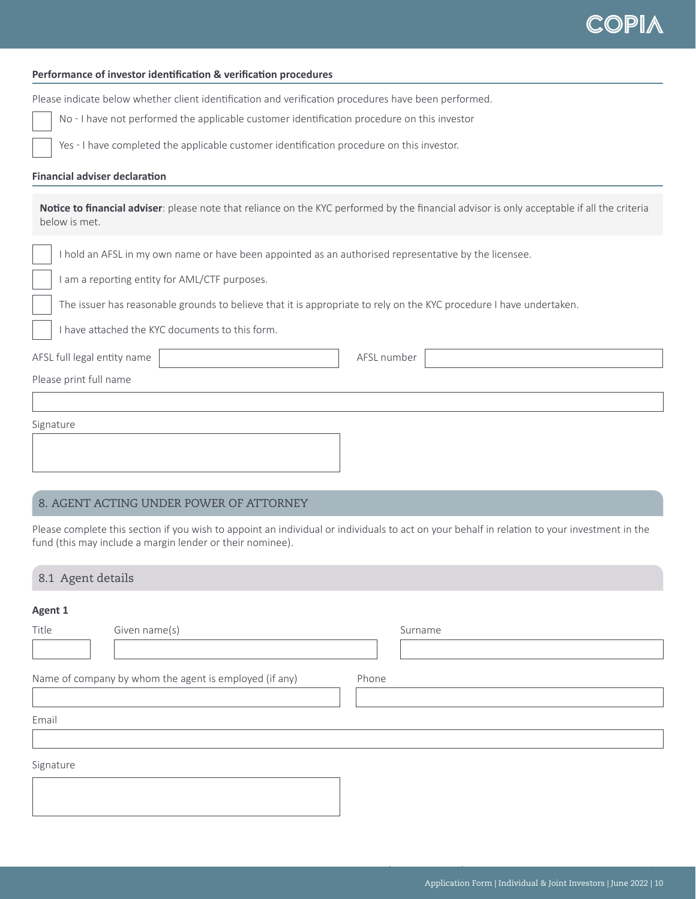#### **Performance of investor identification & verification procedures**

Please indicate below whether client identification and verification procedures have been performed.

No - I have not performed the applicable customer identification procedure on this investor

Yes - I have completed the applicable customer identification procedure on this investor.

#### **Financial adviser declaration**

**Notice to financial adviser**: please note that reliance on the KYC performed by the financial advisor is only acceptable if all the criteria below is met.

I hold an AFSL in my own name or have been appointed as an authorised representative by the licensee.

I am a reporting entity for AML/CTF purposes.

The issuer has reasonable grounds to believe that it is appropriate to rely on the KYC procedure I have undertaken.

I have attached the KYC documents to this form.

AFSL full legal entity name

Please print full name

| Signature |  |  |  |
|-----------|--|--|--|
|           |  |  |  |
|           |  |  |  |
|           |  |  |  |

# 8. AGENT ACTING UNDER POWER OF ATTORNEY

Please complete this section if you wish to appoint an individual or individuals to act on your behalf in relation to your investment in the fund (this may include a margin lender or their nominee).

# 8.1 Agent details

#### **Agent 1**

| Title     | Given name(s)                                          | Surname |
|-----------|--------------------------------------------------------|---------|
|           |                                                        |         |
|           | Name of company by whom the agent is employed (if any) | Phone   |
| Email     |                                                        |         |
|           |                                                        |         |
| Signature |                                                        |         |
|           |                                                        |         |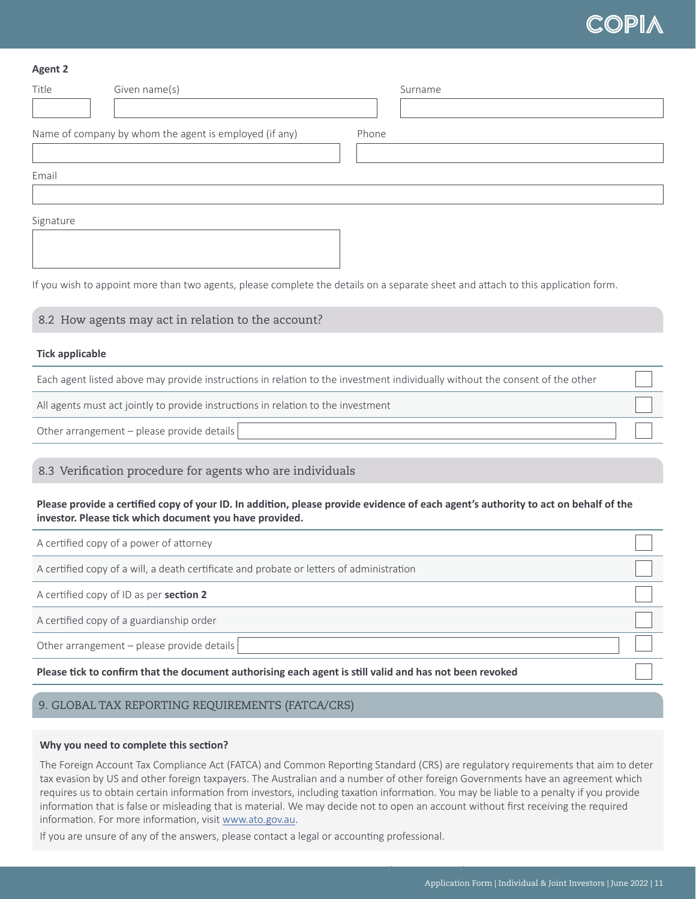| <b>Agent 2</b>         |                                                                                          |                                                                                                                                    |  |
|------------------------|------------------------------------------------------------------------------------------|------------------------------------------------------------------------------------------------------------------------------------|--|
| Title                  | Given name(s)                                                                            | Surname                                                                                                                            |  |
|                        |                                                                                          |                                                                                                                                    |  |
|                        | Name of company by whom the agent is employed (if any)                                   | Phone                                                                                                                              |  |
|                        |                                                                                          |                                                                                                                                    |  |
| Email                  |                                                                                          |                                                                                                                                    |  |
|                        |                                                                                          |                                                                                                                                    |  |
| Signature              |                                                                                          |                                                                                                                                    |  |
|                        |                                                                                          |                                                                                                                                    |  |
|                        |                                                                                          |                                                                                                                                    |  |
|                        |                                                                                          | If you wish to appoint more than two agents, please complete the details on a separate sheet and attach to this application form.  |  |
|                        | 8.2 How agents may act in relation to the account?                                       |                                                                                                                                    |  |
|                        |                                                                                          |                                                                                                                                    |  |
| <b>Tick applicable</b> |                                                                                          |                                                                                                                                    |  |
|                        |                                                                                          | Each agent listed above may provide instructions in relation to the investment individually without the consent of the other       |  |
|                        | All agents must act jointly to provide instructions in relation to the investment        |                                                                                                                                    |  |
|                        | Other arrangement - please provide details                                               |                                                                                                                                    |  |
|                        |                                                                                          |                                                                                                                                    |  |
|                        | 8.3 Verification procedure for agents who are individuals                                |                                                                                                                                    |  |
|                        | investor. Please tick which document you have provided.                                  | Please provide a certified copy of your ID. In addition, please provide evidence of each agent's authority to act on behalf of the |  |
|                        | A certified copy of a power of attorney                                                  |                                                                                                                                    |  |
|                        | A certified copy of a will, a death certificate and probate or letters of administration |                                                                                                                                    |  |
|                        | $\sim$ $-$                                                                               |                                                                                                                                    |  |

A certified copy of ID as per **section 2**

A certified copy of a guardianship order

Other arrangement – please provide details

**Please tick to confirm that the document authorising each agent is still valid and has not been revoked**

# 9. GLOBAL TAX REPORTING REQUIREMENTS (FATCA/CRS)

## **Why you need to complete this section?**

The Foreign Account Tax Compliance Act (FATCA) and Common Reporting Standard (CRS) are regulatory requirements that aim to deter tax evasion by US and other foreign taxpayers. The Australian and a number of other foreign Governments have an agreement which requires us to obtain certain information from investors, including taxation information. You may be liable to a penalty if you provide information that is false or misleading that is material. We may decide not to open an account without first receiving the required information. For more information, visit [www.ato.gov.au](http://www.ato.gov.au).

If you are unsure of any of the answers, please contact a legal or accounting professional.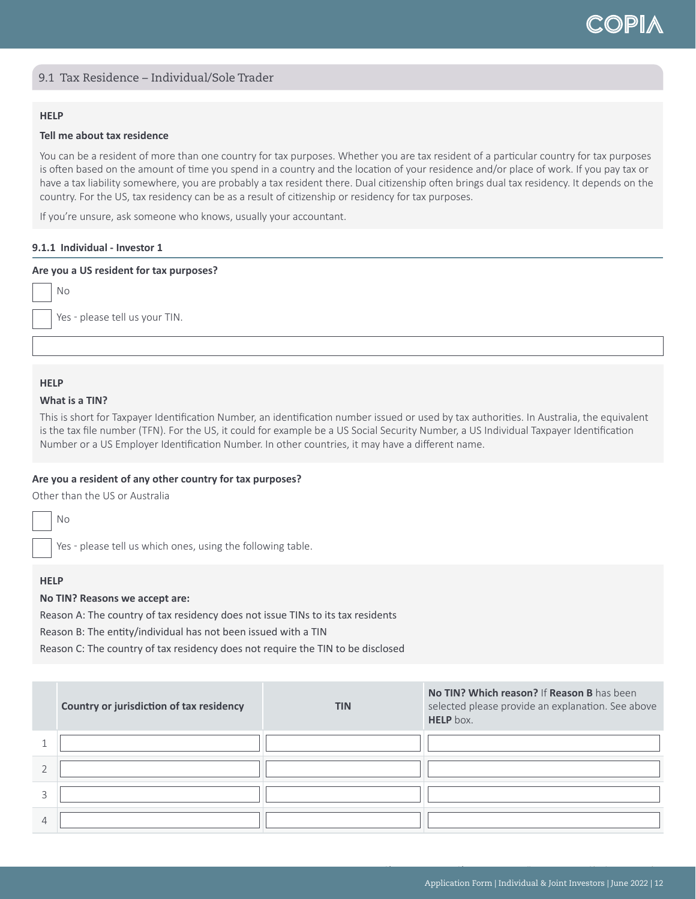# 9.1 Tax Residence – Individual/Sole Trader

# **HELP**

#### **Tell me about tax residence**

You can be a resident of more than one country for tax purposes. Whether you are tax resident of a particular country for tax purposes is often based on the amount of time you spend in a country and the location of your residence and/or place of work. If you pay tax or have a tax liability somewhere, you are probably a tax resident there. Dual citizenship often brings dual tax residency. It depends on the country. For the US, tax residency can be as a result of citizenship or residency for tax purposes.

If you're unsure, ask someone who knows, usually your accountant.

#### **9.1.1 Individual - Investor 1**

#### **Are you a US resident for tax purposes?**

No

Yes - please tell us your TIN.

## **HELP**

# **What is a TIN?**

This is short for Taxpayer Identification Number, an identification number issued or used by tax authorities. In Australia, the equivalent is the tax file number (TFN). For the US, it could for example be a US Social Security Number, a US Individual Taxpayer Identification Number or a US Employer Identification Number. In other countries, it may have a different name.

### **Are you a resident of any other country for tax purposes?**

Other than the US or Australia

No

Yes - please tell us which ones, using the following table.

## **HELP**

## **No TIN? Reasons we accept are:**

Reason A: The country of tax residency does not issue TINs to its tax residents

Reason B: The entity/individual has not been issued with a TIN

Reason C: The country of tax residency does not require the TIN to be disclosed

| Country or jurisdiction of tax residency | <b>TIN</b> | No TIN? Which reason? If Reason B has been<br>selected please provide an explanation. See above<br><b>HELP</b> box. |
|------------------------------------------|------------|---------------------------------------------------------------------------------------------------------------------|
|                                          |            |                                                                                                                     |
|                                          |            |                                                                                                                     |
|                                          |            |                                                                                                                     |
|                                          |            |                                                                                                                     |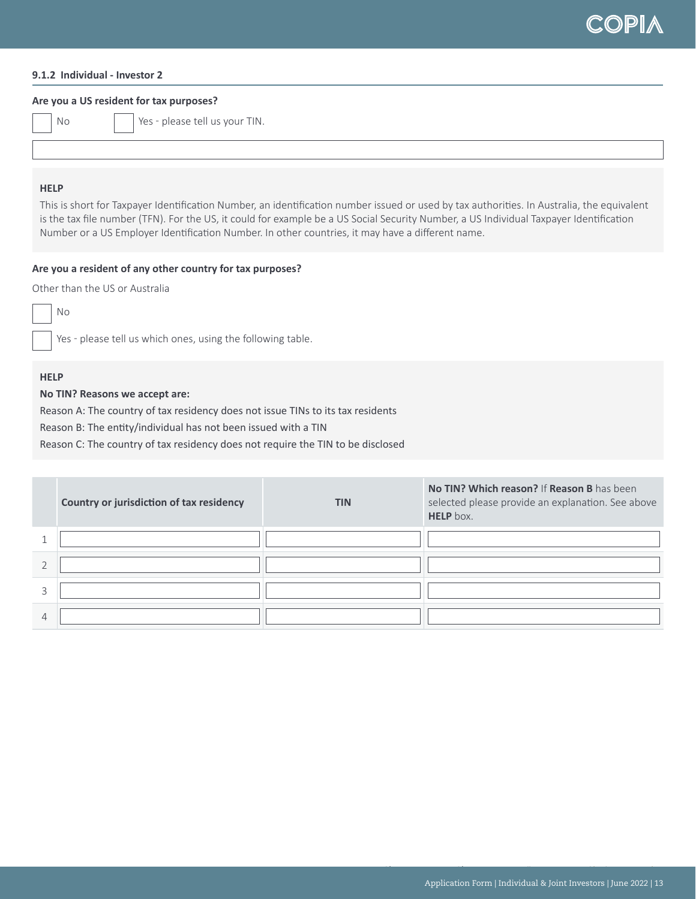

## **9.1.2 Individual - Investor 2**

#### **Are you a US resident for tax purposes?**

No  $\vert$  Yes - please tell us your TIN.

## **HELP**

This is short for Taxpayer Identification Number, an identification number issued or used by tax authorities. In Australia, the equivalent is the tax file number (TFN). For the US, it could for example be a US Social Security Number, a US Individual Taxpayer Identification Number or a US Employer Identification Number. In other countries, it may have a different name.

#### **Are you a resident of any other country for tax purposes?**

Other than the US or Australia

No

Yes - please tell us which ones, using the following table.

# **HELP**

## **No TIN? Reasons we accept are:**

Reason A: The country of tax residency does not issue TINs to its tax residents

Reason B: The entity/individual has not been issued with a TIN

Reason C: The country of tax residency does not require the TIN to be disclosed

| Country or jurisdiction of tax residency | <b>TIN</b> | No TIN? Which reason? If Reason B has been<br>selected please provide an explanation. See above<br>HELP box. |
|------------------------------------------|------------|--------------------------------------------------------------------------------------------------------------|
|                                          |            |                                                                                                              |
|                                          |            |                                                                                                              |
|                                          |            |                                                                                                              |
|                                          |            |                                                                                                              |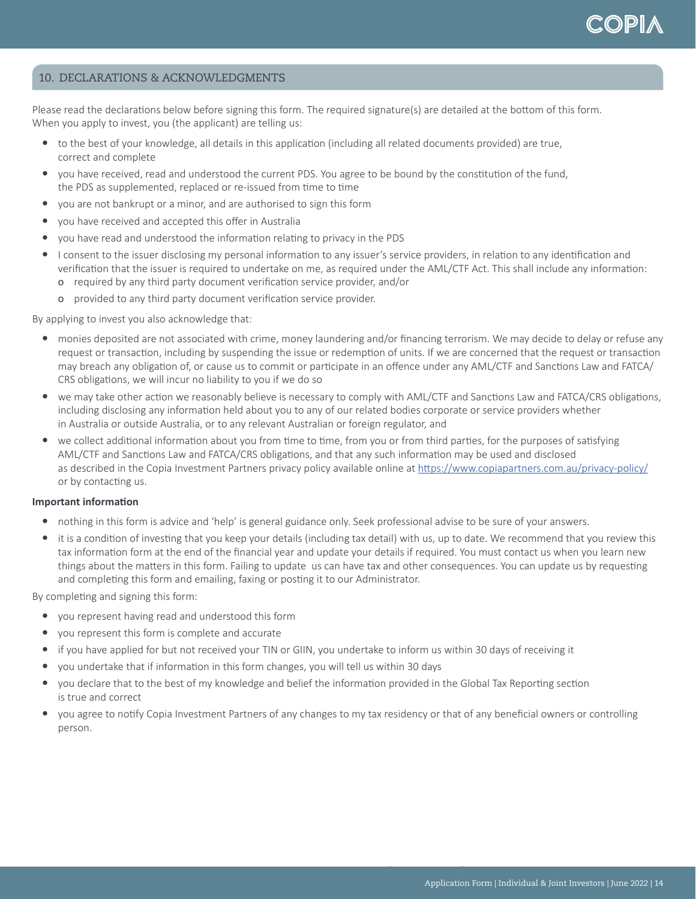# 10. DECLARATIONS & ACKNOWLEDGMENTS

Please read the declarations below before signing this form. The required signature(s) are detailed at the bottom of this form. When you apply to invest, you (the applicant) are telling us:

- to the best of your knowledge, all details in this application (including all related documents provided) are true, correct and complete
- y you have received, read and understood the current PDS. You agree to be bound by the constitution of the fund, the PDS as supplemented, replaced or re-issued from time to time
- you are not bankrupt or a minor, and are authorised to sign this form
- you have received and accepted this offer in Australia
- you have read and understood the information relating to privacy in the PDS
- I consent to the issuer disclosing my personal information to any issuer's service providers, in relation to any identification and verification that the issuer is required to undertake on me, as required under the AML/CTF Act. This shall include any information: о required by any third party document verification service provider, and/or
	- о provided to any third party document verification service provider.

By applying to invest you also acknowledge that:

- monies deposited are not associated with crime, money laundering and/or financing terrorism. We may decide to delay or refuse any request or transaction, including by suspending the issue or redemption of units. If we are concerned that the request or transaction may breach any obligation of, or cause us to commit or participate in an offence under any AML/CTF and Sanctions Law and FATCA/ CRS obligations, we will incur no liability to you if we do so
- we may take other action we reasonably believe is necessary to comply with AML/CTF and Sanctions Law and FATCA/CRS obligations, including disclosing any information held about you to any of our related bodies corporate or service providers whether in Australia or outside Australia, or to any relevant Australian or foreign regulator, and
- y we collect additional information about you from time to time, from you or from third parties, for the purposes of satisfying AML/CTF and Sanctions Law and FATCA/CRS obligations, and that any such information may be used and disclosed as described in the Copia Investment Partners privacy policy available online at <https://www.copiapartners.com.au/privacy-policy/> or by contacting us.

## **Important information**

- nothing in this form is advice and 'help' is general guidance only. Seek professional advise to be sure of your answers.
- it is a condition of investing that you keep your details (including tax detail) with us, up to date. We recommend that you review this tax information form at the end of the financial year and update your details if required. You must contact us when you learn new things about the matters in this form. Failing to update us can have tax and other consequences. You can update us by requesting and completing this form and emailing, faxing or posting it to our Administrator.

By completing and signing this form:

- you represent having read and understood this form
- you represent this form is complete and accurate
- if you have applied for but not received your TIN or GIIN, you undertake to inform us within 30 days of receiving it
- you undertake that if information in this form changes, you will tell us within 30 days
- y you declare that to the best of my knowledge and belief the information provided in the Global Tax Reporting section is true and correct
- y you agree to notify Copia Investment Partners of any changes to my tax residency or that of any beneficial owners or controlling person.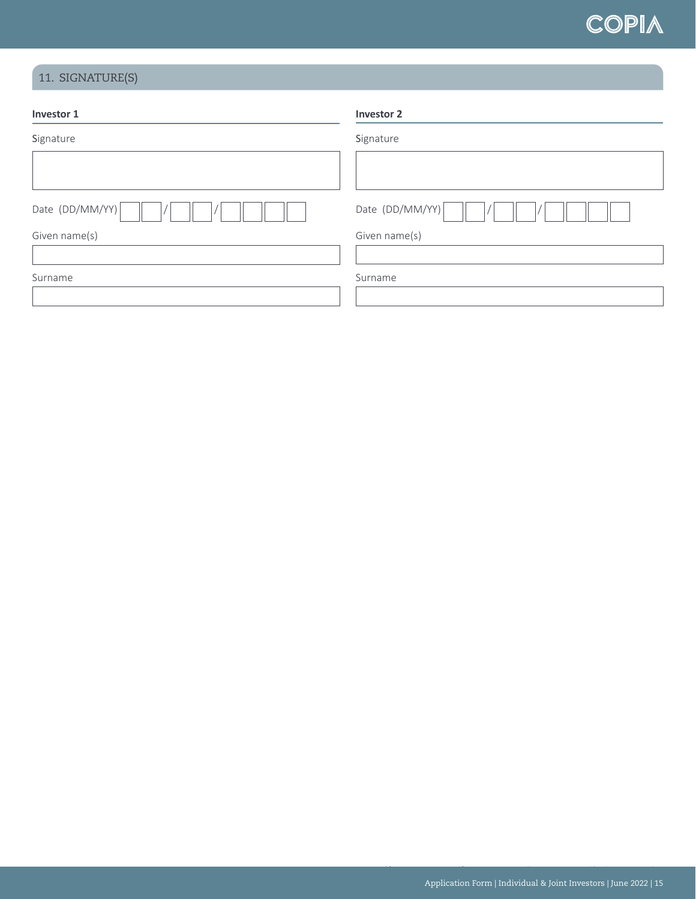

# 11. SIGNATURE(S)

| Investor 1      | <b>Investor 2</b> |
|-----------------|-------------------|
| Signature       | Signature         |
|                 |                   |
| Date (DD/MM/YY) | Date (DD/MM/YY)   |
| Given name(s)   | Given name(s)     |
|                 |                   |
| Surname         | Surname           |
|                 |                   |